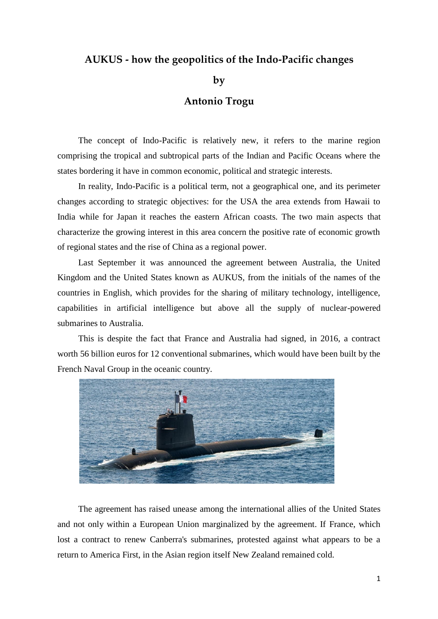## **AUKUS - how the geopolitics of the Indo-Pacific changes**

**by**

## **Antonio Trogu**

The concept of Indo-Pacific is relatively new, it refers to the marine region comprising the tropical and subtropical parts of the Indian and Pacific Oceans where the states bordering it have in common economic, political and strategic interests.

In reality, Indo-Pacific is a political term, not a geographical one, and its perimeter changes according to strategic objectives: for the USA the area extends from Hawaii to India while for Japan it reaches the eastern African coasts. The two main aspects that characterize the growing interest in this area concern the positive rate of economic growth of regional states and the rise of China as a regional power.

Last September it was announced the agreement between Australia, the United Kingdom and the United States known as AUKUS, from the initials of the names of the countries in English, which provides for the sharing of military technology, intelligence, capabilities in artificial intelligence but above all the supply of nuclear-powered submarines to Australia.

This is despite the fact that France and Australia had signed, in 2016, a contract worth 56 billion euros for 12 conventional submarines, which would have been built by the French Naval Group in the oceanic country.



The agreement has raised unease among the international allies of the United States and not only within a European Union marginalized by the agreement. If France, which lost a contract to renew Canberra's submarines, protested against what appears to be a return to America First, in the Asian region itself New Zealand remained cold.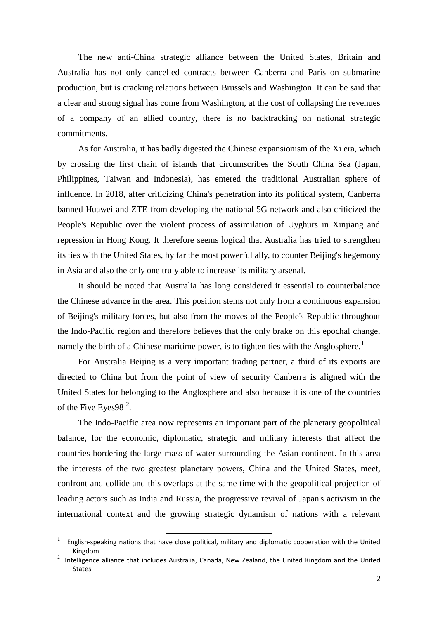The new anti-China strategic alliance between the United States, Britain and Australia has not only cancelled contracts between Canberra and Paris on submarine production, but is cracking relations between Brussels and Washington. It can be said that a clear and strong signal has come from Washington, at the cost of collapsing the revenues of a company of an allied country, there is no backtracking on national strategic commitments.

As for Australia, it has badly digested the Chinese expansionism of the Xi era, which by crossing the first chain of islands that circumscribes the South China Sea (Japan, Philippines, Taiwan and Indonesia), has entered the traditional Australian sphere of influence. In 2018, after criticizing China's penetration into its political system, Canberra banned Huawei and ZTE from developing the national 5G network and also criticized the People's Republic over the violent process of assimilation of Uyghurs in Xinjiang and repression in Hong Kong. It therefore seems logical that Australia has tried to strengthen its ties with the United States, by far the most powerful ally, to counter Beijing's hegemony in Asia and also the only one truly able to increase its military arsenal.

It should be noted that Australia has long considered it essential to counterbalance the Chinese advance in the area. This position stems not only from a continuous expansion of Beijing's military forces, but also from the moves of the People's Republic throughout the Indo-Pacific region and therefore believes that the only brake on this epochal change, namely the birth of a Chinese maritime power, is to tighten ties with the Anglosphere.<sup>1</sup>

For Australia Beijing is a very important trading partner, a third of its exports are directed to China but from the point of view of security Canberra is aligned with the United States for belonging to the Anglosphere and also because it is one of the countries of the Five Eyes98 $^2$ .

The Indo-Pacific area now represents an important part of the planetary geopolitical balance, for the economic, diplomatic, strategic and military interests that affect the countries bordering the large mass of water surrounding the Asian continent. In this area the interests of the two greatest planetary powers, China and the United States, meet, confront and collide and this overlaps at the same time with the geopolitical projection of leading actors such as India and Russia, the progressive revival of Japan's activism in the international context and the growing strategic dynamism of nations with a relevant

.

<sup>1</sup> English-speaking nations that have close political, military and diplomatic cooperation with the United Kingdom

<sup>2</sup> Intelligence alliance that includes Australia, Canada, New Zealand, the United Kingdom and the United **States**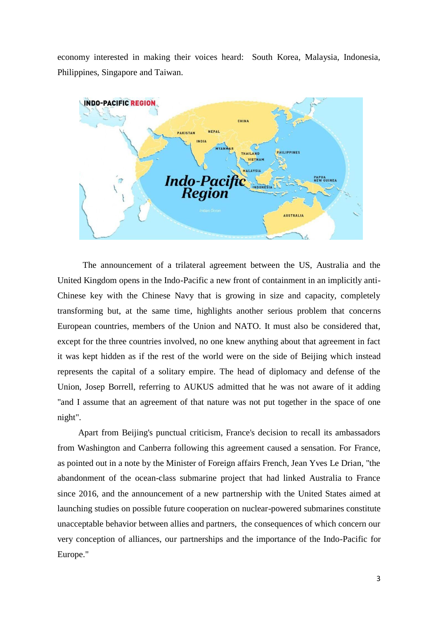economy interested in making their voices heard: South Korea, Malaysia, Indonesia, Philippines, Singapore and Taiwan.



 The announcement of a trilateral agreement between the US, Australia and the United Kingdom opens in the Indo-Pacific a new front of containment in an implicitly anti-Chinese key with the Chinese Navy that is growing in size and capacity, completely transforming but, at the same time, highlights another serious problem that concerns European countries, members of the Union and NATO. It must also be considered that, except for the three countries involved, no one knew anything about that agreement in fact it was kept hidden as if the rest of the world were on the side of Beijing which instead represents the capital of a solitary empire. The head of diplomacy and defense of the Union, Josep Borrell, referring to AUKUS admitted that he was not aware of it adding "and I assume that an agreement of that nature was not put together in the space of one night".

Apart from Beijing's punctual criticism, France's decision to recall its ambassadors from Washington and Canberra following this agreement caused a sensation. For France, as pointed out in a note by the Minister of Foreign affairs French, Jean Yves Le Drian, "the abandonment of the ocean-class submarine project that had linked Australia to France since 2016, and the announcement of a new partnership with the United States aimed at launching studies on possible future cooperation on nuclear-powered submarines constitute unacceptable behavior between allies and partners, the consequences of which concern our very conception of alliances, our partnerships and the importance of the Indo-Pacific for Europe."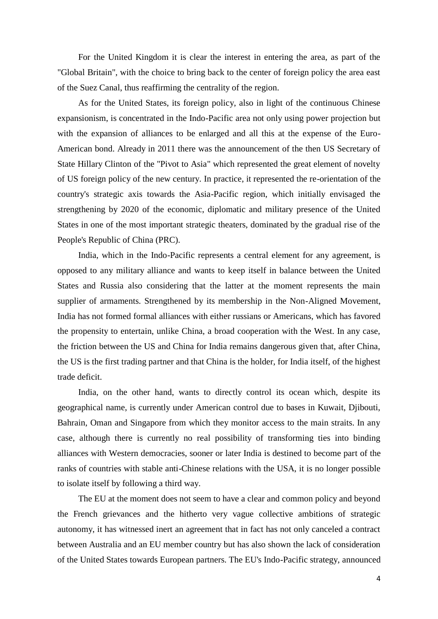For the United Kingdom it is clear the interest in entering the area, as part of the "Global Britain", with the choice to bring back to the center of foreign policy the area east of the Suez Canal, thus reaffirming the centrality of the region.

As for the United States, its foreign policy, also in light of the continuous Chinese expansionism, is concentrated in the Indo-Pacific area not only using power projection but with the expansion of alliances to be enlarged and all this at the expense of the Euro-American bond. Already in 2011 there was the announcement of the then US Secretary of State Hillary Clinton of the "Pivot to Asia" which represented the great element of novelty of US foreign policy of the new century. In practice, it represented the re-orientation of the country's strategic axis towards the Asia-Pacific region, which initially envisaged the strengthening by 2020 of the economic, diplomatic and military presence of the United States in one of the most important strategic theaters, dominated by the gradual rise of the People's Republic of China (PRC).

India, which in the Indo-Pacific represents a central element for any agreement, is opposed to any military alliance and wants to keep itself in balance between the United States and Russia also considering that the latter at the moment represents the main supplier of armaments. Strengthened by its membership in the Non-Aligned Movement, India has not formed formal alliances with either russians or Americans, which has favored the propensity to entertain, unlike China, a broad cooperation with the West. In any case, the friction between the US and China for India remains dangerous given that, after China, the US is the first trading partner and that China is the holder, for India itself, of the highest trade deficit.

India, on the other hand, wants to directly control its ocean which, despite its geographical name, is currently under American control due to bases in Kuwait, Djibouti, Bahrain, Oman and Singapore from which they monitor access to the main straits. In any case, although there is currently no real possibility of transforming ties into binding alliances with Western democracies, sooner or later India is destined to become part of the ranks of countries with stable anti-Chinese relations with the USA, it is no longer possible to isolate itself by following a third way.

The EU at the moment does not seem to have a clear and common policy and beyond the French grievances and the hitherto very vague collective ambitions of strategic autonomy, it has witnessed inert an agreement that in fact has not only canceled a contract between Australia and an EU member country but has also shown the lack of consideration of the United States towards European partners. The EU's Indo-Pacific strategy, announced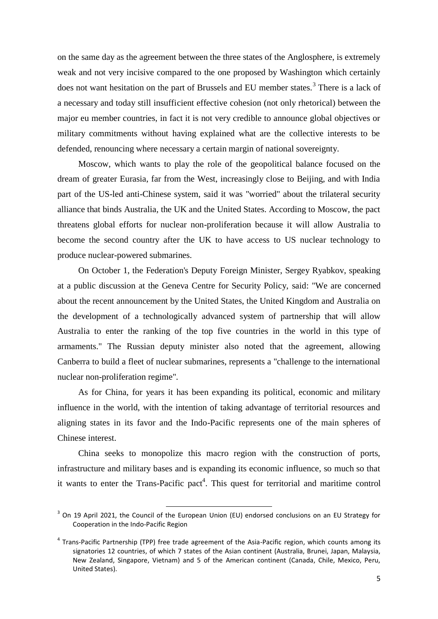on the same day as the agreement between the three states of the Anglosphere, is extremely weak and not very incisive compared to the one proposed by Washington which certainly does not want hesitation on the part of Brussels and EU member states.<sup>3</sup> There is a lack of a necessary and today still insufficient effective cohesion (not only rhetorical) between the major eu member countries, in fact it is not very credible to announce global objectives or military commitments without having explained what are the collective interests to be defended, renouncing where necessary a certain margin of national sovereignty.

Moscow, which wants to play the role of the geopolitical balance focused on the dream of greater Eurasia, far from the West, increasingly close to Beijing, and with India part of the US-led anti-Chinese system, said it was "worried" about the trilateral security alliance that binds Australia, the UK and the United States. According to Moscow, the pact threatens global efforts for nuclear non-proliferation because it will allow Australia to become the second country after the UK to have access to US nuclear technology to produce nuclear-powered submarines.

On October 1, the Federation's Deputy Foreign Minister, Sergey Ryabkov, speaking at a public discussion at the Geneva Centre for Security Policy, said: "We are concerned about the recent announcement by the United States, the United Kingdom and Australia on the development of a technologically advanced system of partnership that will allow Australia to enter the ranking of the top five countries in the world in this type of armaments." The Russian deputy minister also noted that the agreement, allowing Canberra to build a fleet of nuclear submarines, represents a "challenge to the international nuclear non-proliferation regime".

As for China, for years it has been expanding its political, economic and military influence in the world, with the intention of taking advantage of territorial resources and aligning states in its favor and the Indo-Pacific represents one of the main spheres of Chinese interest.

China seeks to monopolize this macro region with the construction of ports, infrastructure and military bases and is expanding its economic influence, so much so that it wants to enter the Trans-Pacific pact<sup>4</sup>. This quest for territorial and maritime control

**EXECUTE:**<br><sup>3</sup> On 19 April 2021, the Council of the European Union (EU) endorsed conclusions on an EU Strategy for Cooperation in the Indo-Pacific Region

<sup>&</sup>lt;sup>4</sup> Trans-Pacific Partnership (TPP) free trade agreement of the Asia-Pacific region, which counts among its signatories 12 countries, of which 7 states of the Asian continent (Australia, Brunei, Japan, Malaysia, New Zealand, Singapore, Vietnam) and 5 of the American continent (Canada, Chile, Mexico, Peru, United States).